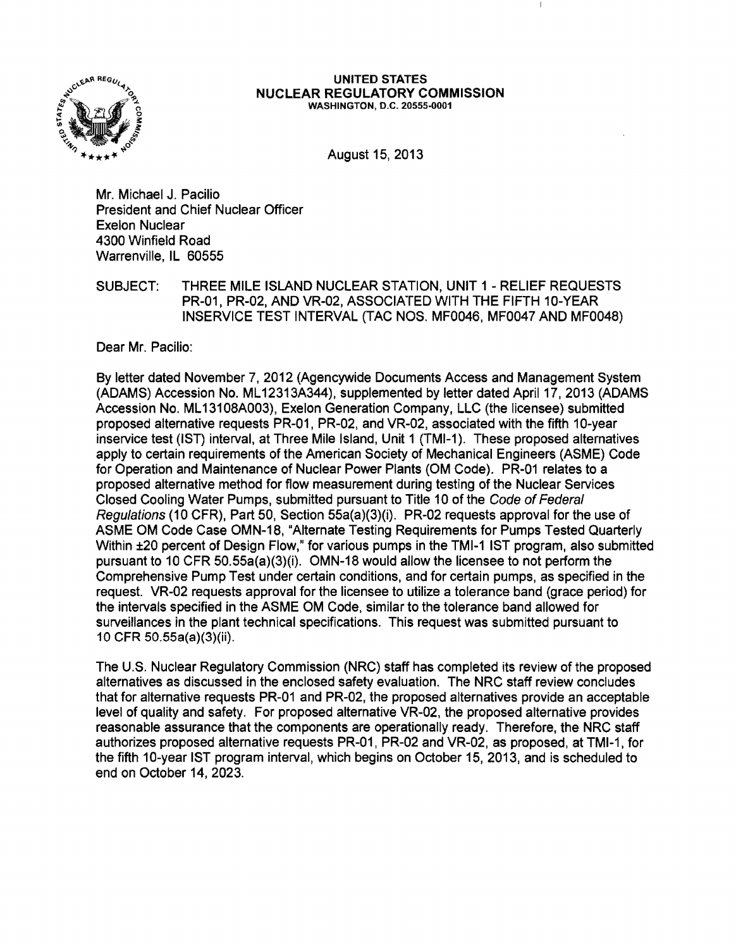

#### UNITED STATES NUCLEAR REGULATORY COMMISSION WASHINGTON, D.C. 20555·0001

August 15,2013

Mr. Michael J. Pacilio President and Chief Nuclear Officer Exelon Nuclear 4300 Winfield Road Warrenville, IL 60555

SUBJECT: THREE MILE ISLAND NUCLEAR STATION, UNIT 1 - RELIEF REQUESTS PR-01, PR-02, AND VR-02, ASSOCIATED WITH THE FIFTH 10-YEAR INSERVICE TEST INTERVAL (TAC NOS. MF0046, MF0047 AND MF0048)

Dear Mr. Pacilio:

By letter dated November 7, 2012 (Agencywide Documents Access and Management System (ADAMS) Accession No. ML12313A344), supplemented by letter dated April 17, 2013 (ADAMS Accession No. ML131 08A003) , Exelon Generation Company, LLC (the licensee) submitted proposed alternative requests PR-01, PR-02, and VR-02, associated with the fifth 10-year inservice test (1ST) interval, at Three Mile Island, Unit 1 (TMI-1). These proposed alternatives apply to certain requirements of the American Society of Mechanical Engineers (ASME) Code for Operation and Maintenance of Nuclear Power Plants (OM Code). PR-01 relates to a proposed alternative method for flow measurement during testing of the Nuclear Services Closed Cooling Water Pumps, submitted pursuant to Title 10 of the Code of Federal Regulations (10 CFR), Part 50, Section 55a(a)(3)(i). PR-02 requests approval for the use of ASME OM Code Case OMN-18, "Alternate Testing Requirements for Pumps Tested Quarterly Within ±20 percent of Design Flow," for various pumps in the TMI-1 1ST program, also submitted pursuant to 10 CFR 50.55a(a)(3)(i). OMN-18 would allow the licensee to not perform the Comprehensive Pump Test under certain conditions, and for certain pumps, as specified in the request. VR-02 requests approval for the licensee to utilize a tolerance band (grace period) for the intervals specified in the ASME OM Code, similar to the tolerance band allowed for surveillances in the plant technical specifications. This request was submitted pursuant to 10 CFR SO.SSa(a)(3)(ii).

The U.S. Nuclear Regulatory Commission (NRC) staff has completed its review of the proposed alternatives as discussed in the enclosed safety evaluation. The NRC staff review concludes that for alternative requests PR-01 and PR-02, the proposed alternatives provide an acceptable level of quality and safety. For proposed alternative VR-02, the proposed alternative provides reasonable assurance that the components are operationally ready. Therefore, the NRC staff authorizes proposed alternative requests PR-01, PR-02 and VR-02, as proposed, at TMI-1, for the fifth 10-year 1ST program interval, which begins on October 15,2013, and is scheduled to end on October 14, 2023.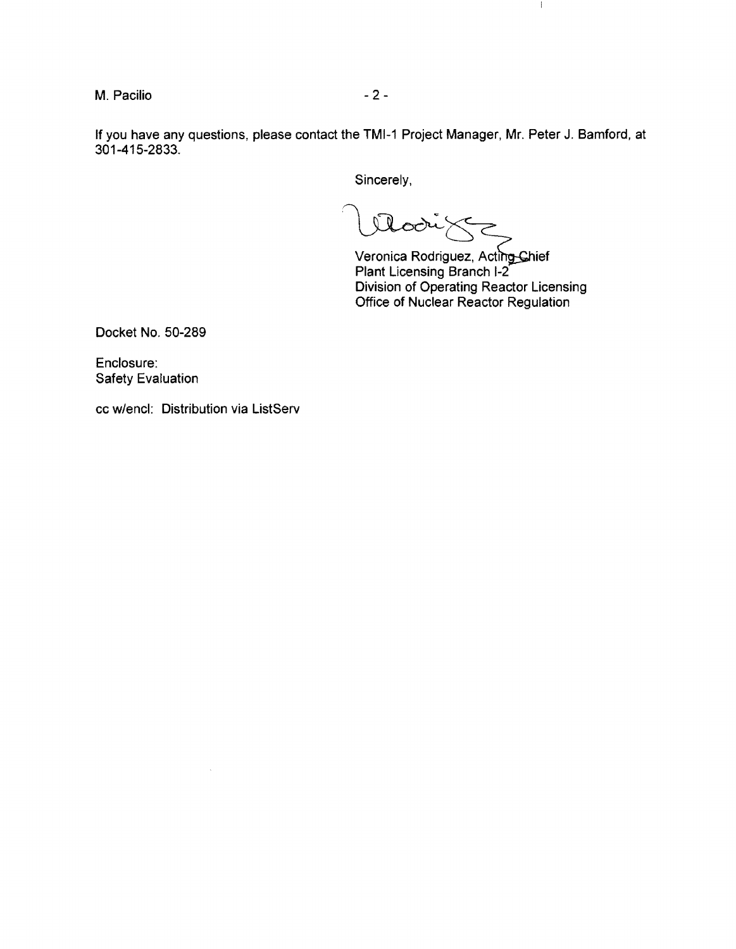M. Pacilio - 2

If you have any questions, please contact the TMI-1 Project Manager, Mr. Peter J. Bamford, at 301-415-2833.

Sincerely,

Modige

Veronica Plant Licensing Rodriguez, Acti<del>ng C</del>hief Branch 1-2 Division of Operating Reactor Licensing Office of Nuclear Reactor Regulation

 $\mathbb{I}$ 

Docket No. 50-289

Enclosure: Safety Evaluation

cc w/encl: Distribution via ListServ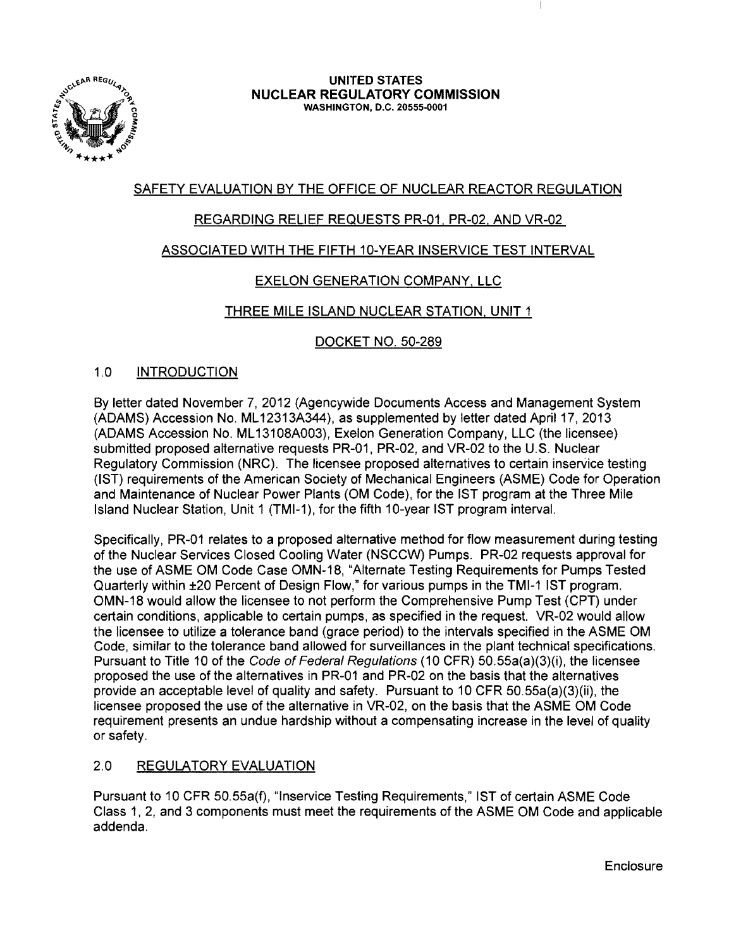

#### **UNITED STATES NUCLEAR REGULATORY COMMISSION** WASHINGTON, D.C. 20555-0001

# SAFETY EVALUATION BY THE OFFICE OF NUCLEAR REACTOR REGULATION

## REGARDING RELIEF REQUESTS PR-01. PR-02. AND VR-02

## ASSOCIATED WITH THE FIFTH 10-YEAR INSERVICE TEST INTERVAL

## EXELON GENERATION COMPANY, **LLC**

## THREE MILE ISLAND NUCLEAR STATION, UNIT 1

## DOCKET NO. SO-289

## 1.0 INTRODUCTION

By letter dated November 7,2012 (Agencywide Documents Access and Management System (ADAMS) Accession No. ML 12313A344), as supplemented by letter dated April 17, 2013 (ADAMS Accession No. ML 13108A003), Exelon Generation Company, LLC (the licensee) submitted proposed alternative requests PR-01, PR-02, and VR-02 to the U.S. Nuclear Regulatory Commission (NRC). The licensee proposed alternatives to certain inservice testing (1ST) requirements of the American Society of Mechanical Engineers (ASME) Code for Operation and Maintenance of Nuclear Power Plants (OM Code), for the 1ST program at the Three Mile Island Nuclear Station, Unit 1 (TMI-1), for the fifth 10-year 1ST program interval.

Specifically, PR-01 relates to a proposed alternative method for flow measurement during testing of the Nuclear Services Closed Cooling Water (NSCCW) Pumps. PR-02 requests approval for the use of ASME OM Code Case OMN-18, "Alternate Testing Requirements for Pumps Tested Quarterly within ±20 Percent of Design Flow," for various pumps in the TMI-1 1ST program. OMN-18 would allow the licensee to not perform the Comprehensive Pump Test (CPT) under certain conditions, applicable to certain pumps, as specified in the request. VR-02 would allow the licensee to utilize a tolerance band (grace period) to the intervals specified in the ASME OM Code, similar to the tolerance band allowed for surveillances in the plant technical specifications. Pursuant to Title 10 of the *Code of Federal Regulations* (10 CFR) 50.55a(a)(3)(i), the licensee proposed the use of the alternatives in PR-01 and PR-02 on the basis that the alternatives provide an acceptable level of quality and safety. Pursuant to 10 CFR SO.SSa(a)(3)(ii), the licensee proposed the use of the alternative in VR-02, on the basis that the ASME OM Code requirement presents an undue hardship without a compensating increase in the level of quality or safety.

## 2.0 REGULATORY EVALUATION

Pursuant to 10 CFR SO.SSa{f), "Inservice Testing Requirements," 1ST of certain ASME Code Class 1, 2, and 3 components must meet the requirements of the ASME OM Code and applicable addenda.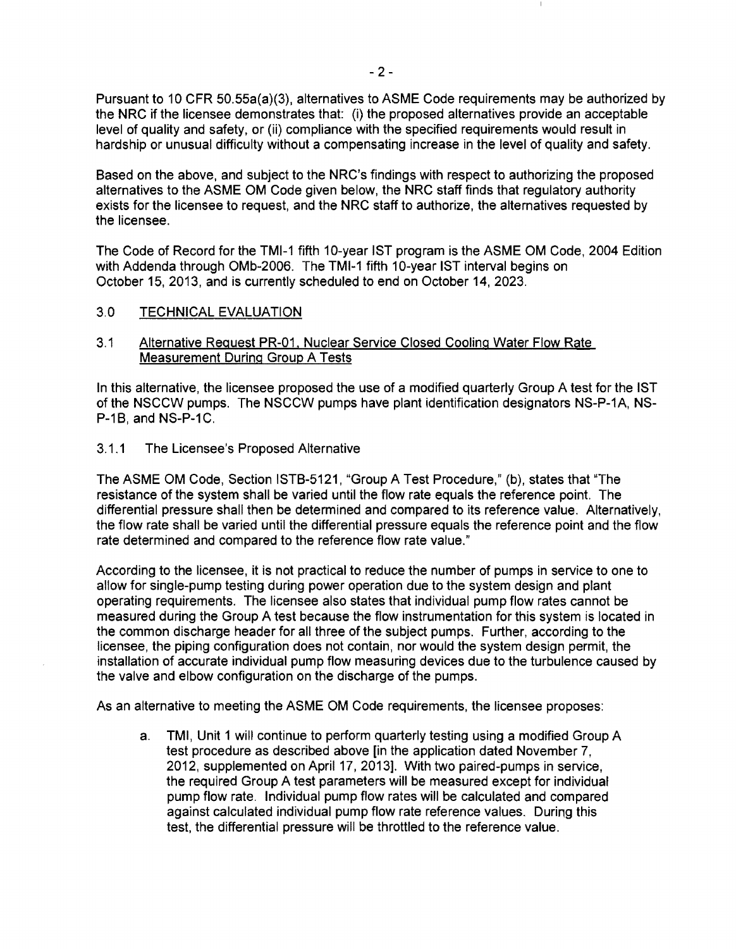Pursuant to 10 CFR 50.55a(a)(3), alternatives to ASME Code requirements may be authorized by the NRC if the licensee demonstrates that: (i) the proposed alternatives provide an acceptable level of quality and safety, or (ii) compliance with the specified requirements would result in hardship or unusual difficulty without a compensating increase in the level of quality and safety.

Based on the above, and subject to the NRC's findings with respect to authorizing the proposed alternatives to the ASME OM Code given below, the NRC staff finds that regulatory authority exists for the licensee to request, and the NRC staff to authorize, the alternatives requested by the licensee.

The Code of Record for the TMI-1 fifth 10-year 1ST program is the ASME OM Code, 2004 Edition with Addenda through OMb-2006. The TMI-1 fifth 10-year 1ST interval begins on October 15, 2013, and is currently scheduled to end on October 14, 2023.

#### 3.0 TECHNICAL EVALUATION

#### 3.1 Alternative Request PR-01, Nuclear Service Closed Cooling Water Flow Rate Measurement During Group A Tests

In this alternative, the licensee proposed the use of a modified quarterly Group A test for the 1ST of the NSCCW pumps. The NSCCW pumps have plant identification designators NS-P-1A, NS-P-1B, and NS-P-1C.

#### 3.1.1 The Licensee's Proposed Alternative

The ASME OM Code, Section ISTB-5121, "Group A Test Procedure," (b), states that "The resistance of the system shall be varied until the flow rate equals the reference point. The differential pressure shall then be determined and compared to its reference value. Alternatively, the flow rate shall be varied until the differential pressure equals the reference point and the flow rate determined and compared to the reference flow rate value."

According to the licensee, it is not practical to reduce the number of pumps in service to one to allow for single-pump testing during power operation due to the system design and plant operating requirements. The licensee also states that individual pump flow rates cannot be measured during the Group A test because the flow instrumentation for this system is located in the common discharge header for all three of the subject pumps. Further, according to the licensee, the piping configuration does not contain, nor would the system design permit, the installation of accurate individual pump flow measuring devices due to the turbulence caused by the valve and elbow configuration on the discharge of the pumps.

As an alternative to meeting the ASME OM Code requirements, the licensee proposes:

a. TMI, Unit 1 will continue to perform quarterly testing using a modified Group A test procedure as described above [in the application dated November 7, 2012, supplemented on April 17, 2013]. With two paired-pumps in service, the required Group A test parameters will be measured except for individual pump flow rate. Individual pump flow rates will be calculated and compared against calculated individual pump flow rate reference values. During this test, the differential pressure will be throttled to the reference value.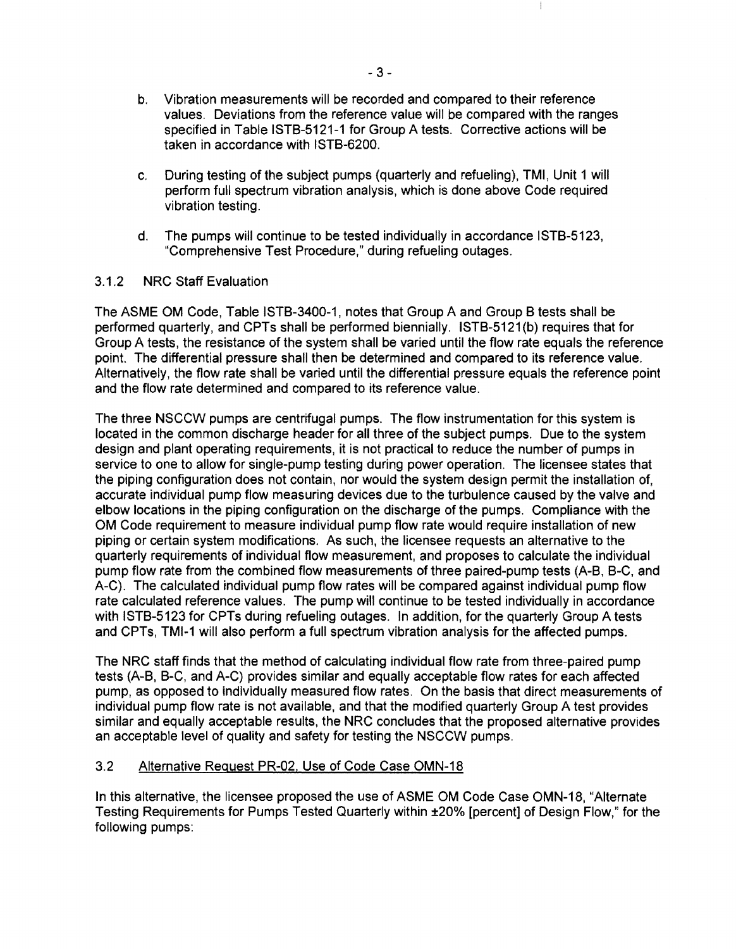- b. Vibration measurements will be recorded and compared to their reference values. Deviations from the reference value will be compared with the ranges specified in Table ISTB-5121-1 for Group A tests. Corrective actions will be taken in accordance with ISTB-6200.
- c. During testing of the subject pumps (quarterly and refueling), TMI, Unit 1 will perform full spectrum vibration analysis, which is done above Code required vibration testing.
- d. The pumps will continue to be tested individually in accordance ISTB-5123, "Comprehensive Test Procedure," during refueling outages.

## 3.1.2 NRC Staff Evaluation

The ASME OM Code, Table ISTB-3400-1, notes that Group A and Group B tests shall be performed quarterly, and CPTs shall be performed biennially. ISTB-5121 (b) requires that for Group A tests, the resistance of the system shall be varied until the flow rate equals the reference point. The differential pressure shall then be determined and compared to its reference value. Alternatively, the flow rate shall be varied until the differential pressure equals the reference point and the flow rate determined and compared to its reference value.

The three NSCCW pumps are centrifugal pumps. The flow instrumentation for this system is located in the common discharge header for all three of the subject pumps. Due to the system design and plant operating requirements, it is not practical to reduce the number of pumps in service to one to allow for single-pump testing during power operation. The licensee states that the piping configuration does not contain, nor would the system design permit the installation of, accurate individual pump flow measuring devices due to the turbulence caused by the valve and elbow locations in the piping configuration on the discharge of the pumps. Compliance with the OM Code requirement to measure individual pump flow rate would require installation of new piping or certain system modifications. As such, the licensee requests an alternative to the quarterly requirements of individual flow measurement, and proposes to calculate the individual pump flow rate from the combined flow measurements of three paired-pump tests (A-B, B-C, and A-C). The calculated individual pump flow rates will be compared against individual pump flow rate calculated reference values. The pump will continue to be tested individually in accordance with ISTB-5123 for CPTs during refueling outages. In addition, for the quarterly Group A tests and CPTs, TMI-1 will also perform a full spectrum vibration analysis for the affected pumps.

The NRC staff finds that the method of calculating individual flow rate from three-paired pump tests (A-B, B-C, and A-C) provides similar and equally acceptable flow rates for each affected pump, as opposed to individually measured flow rates. On the basis that direct measurements of individual pump flow rate is not available, and that the modified quarterly Group A test provides similar and equally acceptable results, the NRC concludes that the proposed alternative provides an acceptable level of quality and safety for testing the NSCCW pumps.

## 3.2 Alternative Request PR-02. Use of Code Case OMN-18

In this alternative, the licensee proposed the use of ASME OM Code Case OMN-18, "Alternate Testing Requirements for Pumps Tested Quarterly within ±20% [percent] of Design Flow," for the following pumps: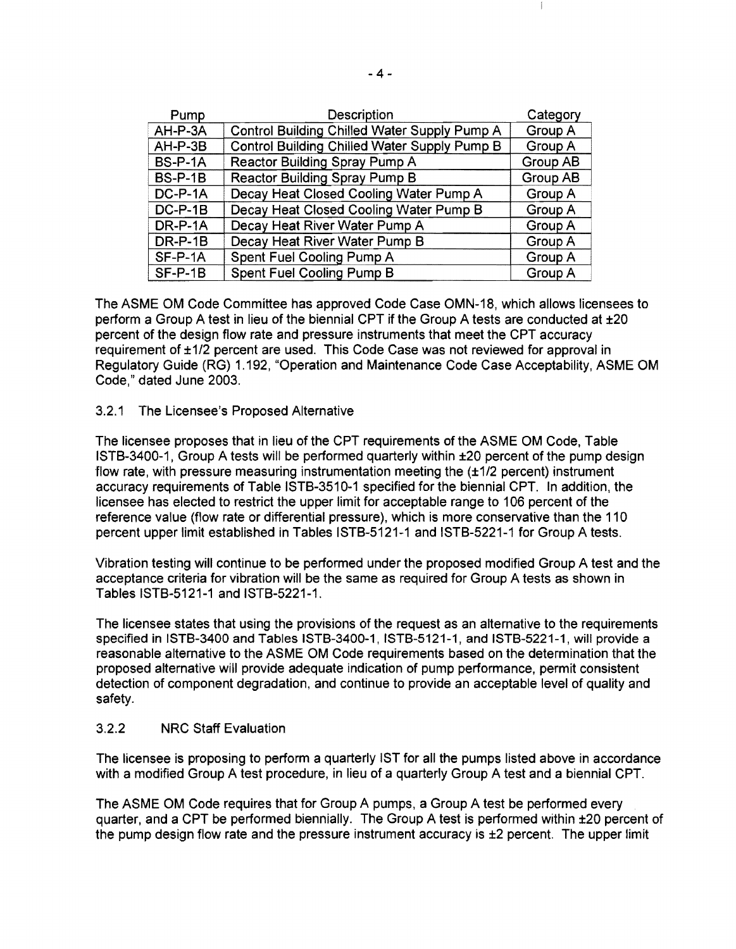| Pump           | Description                                  | Category |
|----------------|----------------------------------------------|----------|
| AH-P-3A        | Control Building Chilled Water Supply Pump A | Group A  |
| $AH-P-3B$      | Control Building Chilled Water Supply Pump B | Group A  |
| <b>BS-P-1A</b> | Reactor Building Spray Pump A                | Group AB |
| <b>BS-P-1B</b> | <b>Reactor Building Spray Pump B</b>         | Group AB |
| $DC-P-1A$      | Decay Heat Closed Cooling Water Pump A       | Group A  |
| $DC-P-1B$      | Decay Heat Closed Cooling Water Pump B       | Group A  |
| DR-P-1A        | Decay Heat River Water Pump A                | Group A  |
| $DR-P-1B$      | Decay Heat River Water Pump B                | Group A  |
| $SF-P-1A$      | Spent Fuel Cooling Pump A                    | Group A  |
| $SF-P-1B$      | Spent Fuel Cooling Pump B                    | Group A  |

The ASME OM Code Committee has approved Code Case OMN-18, which allows licensees to perform a Group A test in lieu of the biennial CPT if the Group A tests are conducted at ±20 percent of the design flow rate and pressure instruments that meet the CPT accuracy requirement of ±1/2 percent are used. This Code Case was not reviewed for approval in Regulatory Guide (RG) 1.192, "Operation and Maintenance Code Case Acceptability, ASME OM Code," dated June 2003.

## 3.2.1 The Licensee's Proposed Alternative

The licensee proposes that in lieu of the CPT requirements of the ASME OM Code, Table ISTB-3400-1, Group A tests will be performed quarterly within ±20 percent of the pump design flow rate, with pressure measuring instrumentation meeting the  $(\pm 1/2$  percent) instrument accuracy requirements of Table ISTB-3510-1 specified for the biennial CPT. In addition, the licensee has elected to restrict the upper limit for acceptable range to 106 percent of the reference value (flow rate or differential pressure), which is more conservative than the 110 percent upper limit established in Tables ISTB-5121-1 and ISTB-5221-1 for Group A tests.

Vibration testing will continue to be performed under the proposed modified Group A test and the acceptance criteria for vibration will be the same as required for Group A tests as shown in Tables ISTB-5121-1 and ISTB-5221-1.

The licensee states that using the provisions of the request as an alternative to the requirements specified in ISTB-3400 and Tables ISTB-3400-1, ISTB-5121-1, and ISTB-5221-1, will provide a reasonable alternative to the ASME OM Code requirements based on the determination that the proposed alternative will provide adequate indication of pump performance, permit consistent detection of component degradation, and continue to provide an acceptable level of quality and safety.

#### 3.2.2 NRC Staff Evaluation

The licensee is proposing to perform a quarterly 1ST for all the pumps listed above in accordance with a modified Group A test procedure, in lieu of a quarterly Group A test and a biennial CPT.

The ASME OM Code requires that for Group A pumps, a Group A test be performed every quarter, and a CPT be performed biennially. The Group A test is performed within ±20 percent of the pump design flow rate and the pressure instrument accuracy is ±2 percent. The upper limit

 $\frac{1}{2}$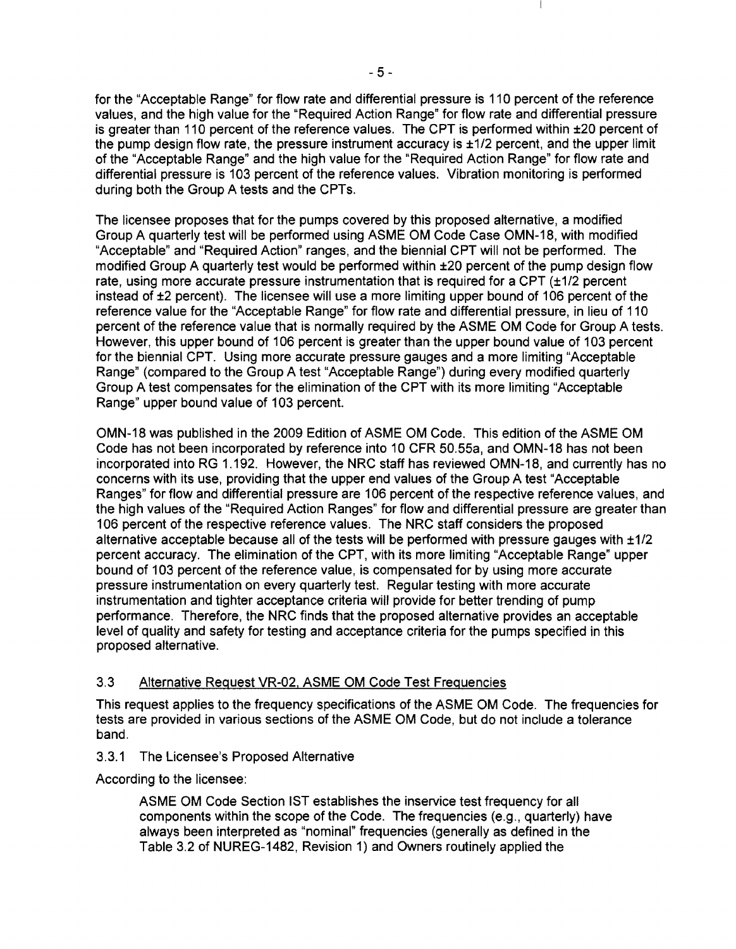for the "Acceptable Range" for flow rate and differential pressure is 110 percent of the reference values, and the high value for the "Required Action Range" for flow rate and differential pressure is greater than 110 percent of the reference values. The CPT is performed within ±20 percent of the pump design flow rate, the pressure instrument accuracy is ±1/2 percent, and the upper limit of the "Acceptable Range" and the high value for the "Required Action Range" for flow rate and differential pressure is 103 percent of the reference values. Vibration monitoring is performed during both the Group A tests and the CPTs.

The licensee proposes that for the pumps covered by this proposed alternative, a modified Group A quarterly test will be performed using ASME OM Code Case OMN-18, with modified "Acceptable" and "Required Action" ranges, and the biennial CPT will not be performed. The modified Group A quarterly test would be performed within ±20 percent of the pump design flow rate, using more accurate pressure instrumentation that is required for a CPT (±1/2 percent instead of ±2 percent). The licensee will use a more limiting upper bound of 106 percent of the reference value for the "Acceptable Range" for flow rate and differential pressure, in lieu of 110 percent of the reference value that is normally required by the ASME OM Code for Group A tests. However, this upper bound of 106 percent is greater than the upper bound value of 103 percent for the biennial CPT. Using more accurate pressure gauges and a more limiting "Acceptable Range" (compared to the Group A test "Acceptable Range") during every modified quarterly Group A test compensates for the elimination of the CPT with its more limiting "Acceptable Range" upper bound value of 103 percent.

OMN-18 was published in the 2009 Edition of ASME OM Code. This edition of the ASME OM Code has not been incorporated by reference into 10 CFR 50.55a, and OMN-18 has not been incorporated into RG 1.192. However, the NRC staff has reviewed OMN-18, and currently has no concerns with its use, providing that the upper end values of the Group A test "Acceptable Ranges" for flow and differential pressure are 106 percent of the respective reference values, and the high values of the "Required Action Ranges" for flow and differential pressure are greater than 106 percent of the respective reference values. The NRC staff considers the proposed alternative acceptable because all of the tests will be performed with pressure gauges with ±1/2 percent accuracy. The elimination of the CPT, with its more limiting "Acceptable Range" upper bound of 103 percent of the reference value, is compensated for by using more accurate pressure instrumentation on every quarterly test. Regular testing with more accurate instrumentation and tighter acceptance criteria will provide for better trending of pump performance. Therefore, the NRC finds that the proposed alternative provides an acceptable level of quality and safety for testing and acceptance criteria for the pumps specified in this proposed alternative.

## 3.3 Alternative Request VR-02, ASME OM Code Test Frequencies

This request applies to the frequency specifications of the ASME OM Code. The frequencies for tests are provided in various sections of the ASME OM Code, but do not include a tolerance band.

## 3.3.1 The Licensee's Proposed Alternative

According to the licensee:

ASME OM Code Section 1ST establishes the inservice test frequency for all components within the scope of the Code. The frequencies (e.g., quarterly) have always been interpreted as "nominal" frequencies (generally as defined in the Table 3.2 of NUREG-1482, Revision 1) and Owners routinely applied the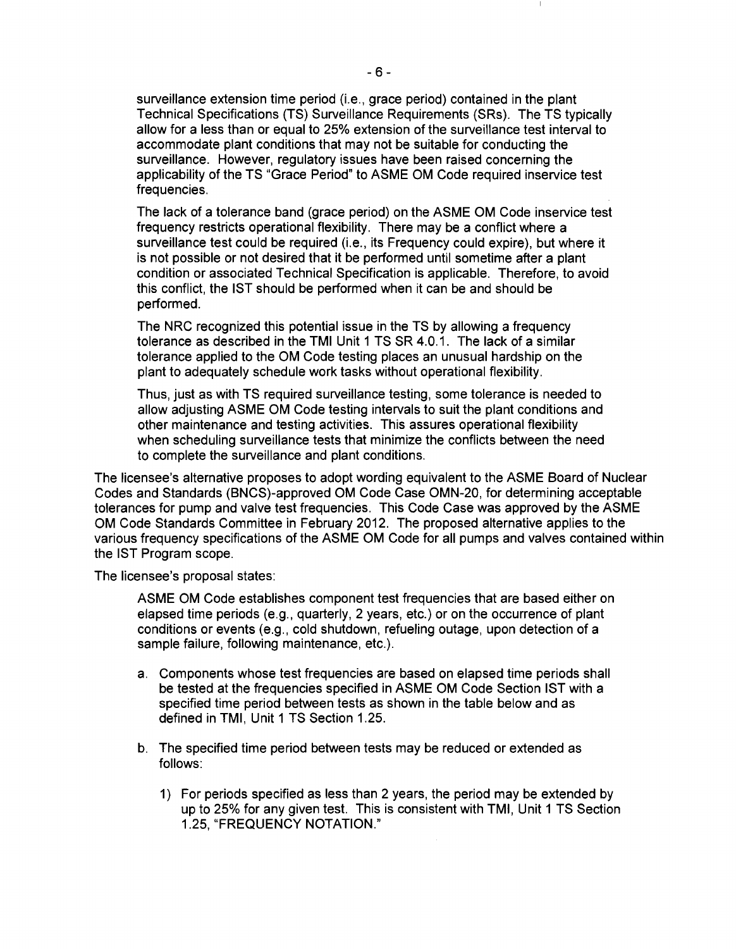surveillance extension time period (i.e., grace period) contained in the plant Technical Specifications (TS) Surveillance Requirements (SRs). The TS typically allow for a less than or equal to 25% extension of the surveillance test interval to accommodate plant conditions that may not be suitable for conducting the surveillance. However, regulatory issues have been raised concerning the applicability of the TS "Grace Period" to ASME OM Code required inservice test frequencies.

The lack of a tolerance band (grace period) on the ASME OM Code inservice test frequency restricts operational flexibility. There may be a conflict where a surveillance test could be required (i.e., its Frequency could expire), but where it is not possible or not desired that it be performed until sometime after a plant condition or associated Technical Specification is applicable. Therefore, to avoid this conflict, the 1ST should be performed when it can be and should be performed.

The NRC recognized this potential issue in the TS by allowing a frequency tolerance as described in the TMI Unit 1 TS SR 4.0.1. The lack of a similar tolerance applied to the OM Code testing places an unusual hardship on the plant to adequately schedule work tasks without operational flexibility.

Thus, just as with TS required surveillance testing, some tolerance is needed to allow adjusting ASME OM Code testing intervals to suit the plant conditions and other maintenance and testing activities. This assures operational flexibility when scheduling surveillance tests that minimize the conflicts between the need to complete the surveillance and plant conditions.

The licensee's alternative proposes to adopt wording equivalent to the ASME Board of Nuclear Codes and Standards (BNCS)-approved OM Code Case OMN-20, for determining acceptable tolerances for pump and valve test frequencies. This Code Case was approved by the ASME OM Code Standards Committee in February 2012. The proposed alternative applies to the various frequency specifications of the ASME OM Code for all pumps and valves contained within the 1ST Program scope.

The licensee's proposal states:

ASME OM Code establishes component test frequencies that are based either on elapsed time periods (e.g., quarterly, 2 years, etc.) or on the occurrence of plant conditions or events (e.g., cold shutdown, refueling outage, upon detection of a sample failure, following maintenance, etc.).

- a. Components whose test frequencies are based on elapsed time periods shall be tested at the frequencies specified in ASME OM Code Section 1ST with a specified time period between tests as shown in the table below and as defined in TMI, Unit 1 TS Section 1.25.
- b. The specified time period between tests may be reduced or extended as follows:
	- 1) For periods specified as less than 2 years, the period may be extended by up to 25% for any given test. This is consistent with TMI, Unit 1 TS Section 1.25, "FREQUENCY NOTATION."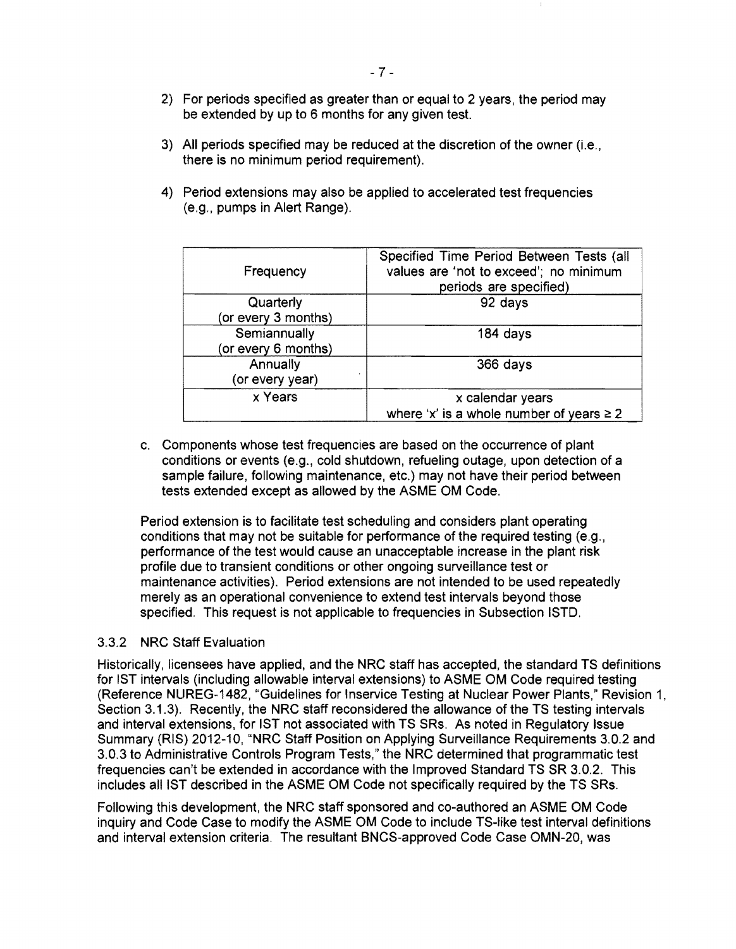- 2) For periods specified as greater than or equal to 2 years, the period may be extended by up to 6 months for any given test.
- 3) All periods specified may be reduced at the discretion of the owner (i.e., there is no minimum period requirement).
- 4) Period extensions may also be applied to accelerated test frequencies (e.g., pumps in Alert Range).

| Frequency           | Specified Time Period Between Tests (all<br>values are 'not to exceed'; no minimum<br>periods are specified) |
|---------------------|--------------------------------------------------------------------------------------------------------------|
| Quarterly           | 92 days                                                                                                      |
| (or every 3 months) |                                                                                                              |
| Semiannually        | 184 days                                                                                                     |
| (or every 6 months) |                                                                                                              |
| Annually            | 366 days                                                                                                     |
| (or every year)     |                                                                                                              |
| x Years             | x calendar years                                                                                             |
|                     | where 'x' is a whole number of years $\geq 2$                                                                |

c. Components whose test frequencies are based on the occurrence of plant conditions or events (e.g., cold shutdown, refueling outage, upon detection of a sample failure, following maintenance, etc.) may not have their period between tests extended except as allowed by the ASME OM Code.

Period extension is to facilitate test scheduling and considers plant operating conditions that may not be suitable for performance of the required testing (e.g., performance of the test would cause an unacceptable increase in the plant risk profile due to transient conditions or other ongoing surveillance test or maintenance activities). Period extensions are not intended to be used repeatedly merely as an operational convenience to extend test intervals beyond those specified. This request is not applicable to frequencies in Subsection ISTD.

#### 3.3.2 NRC Staff Evaluation

Historically, licensees have applied, and the NRC staff has accepted, the standard TS definitions for 1ST intervals (including allowable interval extensions) to ASME OM Code required testing (Reference NUREG-1482, "Guidelines for Inservice Testing at Nuclear Power Plants," Revision 1, Section 3.1.3). Recently, the NRC staff reconsidered the allowance of the TS testing intervals and interval extensions, for 1ST not associated with TS SRs. As noted in Regulatory Issue Summary (RIS) 2012-10, "NRC Staff Position on Applying Surveillance Requirements 3.0.2 and 3.0.3 to Administrative Controls Program Tests," the NRC determined that programmatic test frequencies can't be extended in accordance with the Improved Standard TS SR 3.0.2. This includes all 1ST described in the ASME OM Code not specifically required by the TS SRs.

Following this development, the NRC staff sponsored and co-authored an ASME OM Code inquiry and Code Case to modify the ASME OM Code to include TS-like test interval definitions and interval extension criteria. The resultant BNCS-approved Code Case OMN-20, was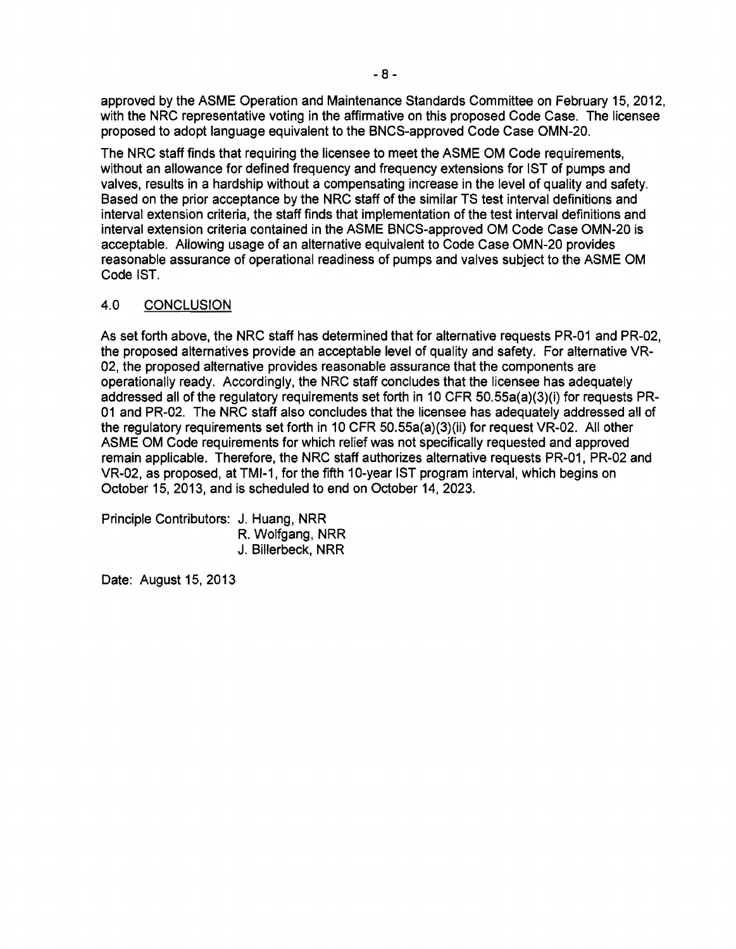approved by the ASME Operation and Maintenance Standards Committee on February 15.2012. with the NRC representative voting in the affirmative on this proposed Code Case. The licensee proposed to adopt language equivalent to the BNCS-approved Code Case OMN-20.

The NRC staff finds that requiring the licensee to meet the ASME OM Code requirements, without an allowance for defined frequency and frequency extensions for 1ST of pumps and valves, results in a hardship without a compensating increase in the level of quality and safety. Based on the prior acceptance by the NRC staff of the similar TS test interval definitions and interval extension criteria, the staff finds that implementation of the test interval definitions and interval extension criteria contained in the ASME BNCS-approved OM Code Case OMN-20 is acceptable. Allowing usage of an alternative equivalent to Code Case OMN-20 provides reasonable assurance of operational readiness of pumps and valves subject to the ASME OM Code 1ST.

## 4.0 CONCLUSION

As set forth above. the NRC staff has determined that for alternative requests PR-01 and PR-02, the proposed alternatives provide an acceptable level of quality and safety. For alternative VR-02. the proposed alternative provides reasonable assurance that the components are operationally ready. Accordingly, the NRC staff concludes that the licensee has adequately addressed all of the regulatory requirements set forth in 10 CFR 50.55a(a)(3)(i) for requests PR-01 and PR-02. The NRC staff also concludes that the licensee has adequately addressed all of the regulatory requirements set forth in 10 CFR 50.55a(a)(3)(ii) for request VR-02. All other ASME OM Code requirements for which relief was not specifically requested and approved remain applicable. Therefore, the NRC staff authorizes alternative requests PR-01. PR-02 and VR-02. as proposed, at TMI-1, for the fifth 10-year 1ST program interval, which begins on October 15, 2013. and is scheduled to end on October 14,2023.

Principle Contributors: J. Huang, NRR R. Wolfgang, NRR J. Billerbeck, NRR

Date: August 15, 2013